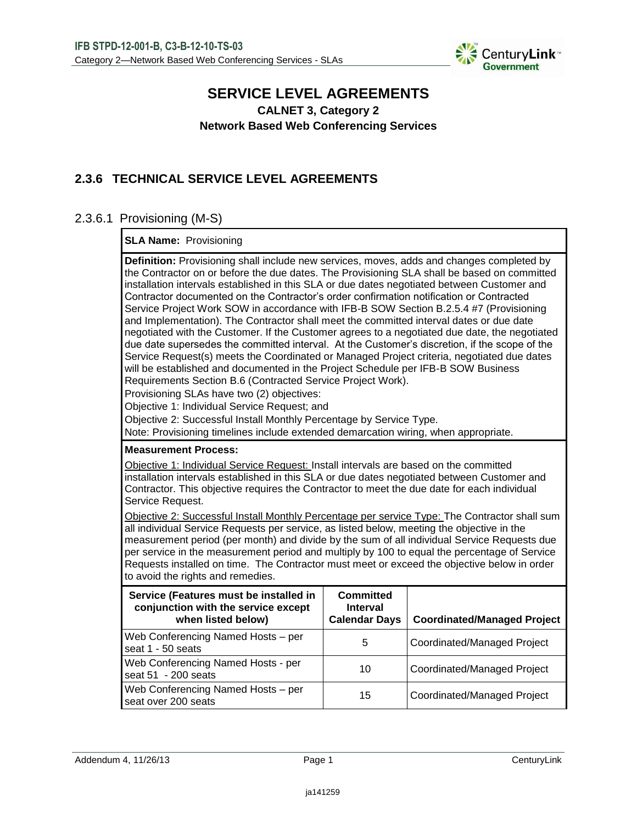

## **SERVICE LEVEL AGREEMENTS CALNET 3, Category 2**

**Network Based Web Conferencing Services**

# **2.3.6 TECHNICAL SERVICE LEVEL AGREEMENTS**

## 2.3.6.1 Provisioning (M-S)

### **SLA Name:** Provisioning

**Definition:** Provisioning shall include new services, moves, adds and changes completed by the Contractor on or before the due dates. The Provisioning SLA shall be based on committed installation intervals established in this SLA or due dates negotiated between Customer and Contractor documented on the Contractor's order confirmation notification or Contracted Service Project Work SOW in accordance with IFB-B SOW Section B.2.5.4 #7 (Provisioning and Implementation). The Contractor shall meet the committed interval dates or due date negotiated with the Customer. If the Customer agrees to a negotiated due date, the negotiated due date supersedes the committed interval. At the Customer's discretion, if the scope of the Service Request(s) meets the Coordinated or Managed Project criteria, negotiated due dates will be established and documented in the Project Schedule per IFB-B SOW Business Requirements Section B.6 (Contracted Service Project Work). Provisioning SLAs have two (2) objectives: Objective 1: Individual Service Request; and

Objective 2: Successful Install Monthly Percentage by Service Type.

Note: Provisioning timelines include extended demarcation wiring, when appropriate.

#### **Measurement Process:**

Objective 1: Individual Service Request: Install intervals are based on the committed installation intervals established in this SLA or due dates negotiated between Customer and Contractor. This objective requires the Contractor to meet the due date for each individual Service Request.

Objective 2: Successful Install Monthly Percentage per service Type: The Contractor shall sum all individual Service Requests per service, as listed below, meeting the objective in the measurement period (per month) and divide by the sum of all individual Service Requests due per service in the measurement period and multiply by 100 to equal the percentage of Service Requests installed on time. The Contractor must meet or exceed the objective below in order to avoid the rights and remedies.

| Service (Features must be installed in<br>conjunction with the service except<br>when listed below) | <b>Committed</b><br><b>Interval</b><br><b>Calendar Days</b> | <b>Coordinated/Managed Project</b> |
|-----------------------------------------------------------------------------------------------------|-------------------------------------------------------------|------------------------------------|
| Web Conferencing Named Hosts - per<br>seat 1 - 50 seats                                             | 5                                                           | Coordinated/Managed Project        |
| Web Conferencing Named Hosts - per<br>seat 51 - 200 seats                                           | 10                                                          | Coordinated/Managed Project        |
| Web Conferencing Named Hosts - per<br>seat over 200 seats                                           | 15                                                          | Coordinated/Managed Project        |